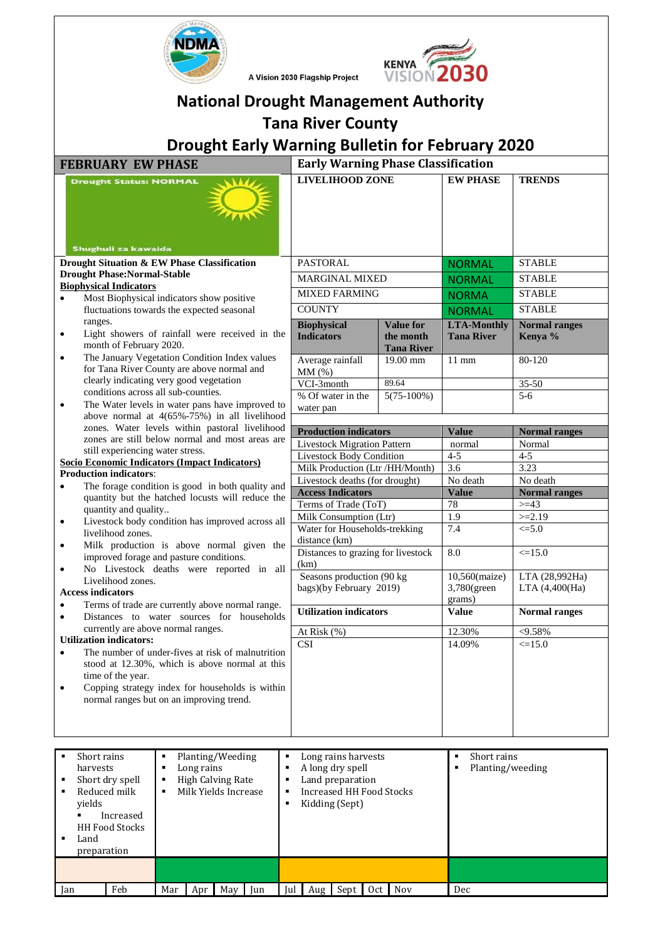



| VISION 2030<br>A Vision 2030 Flagship Project                                                                                                                                                                                                                               |                                                                                                                  |                                |                                           |                                   |  |
|-----------------------------------------------------------------------------------------------------------------------------------------------------------------------------------------------------------------------------------------------------------------------------|------------------------------------------------------------------------------------------------------------------|--------------------------------|-------------------------------------------|-----------------------------------|--|
| <b>National Drought Management Authority</b>                                                                                                                                                                                                                                |                                                                                                                  |                                |                                           |                                   |  |
|                                                                                                                                                                                                                                                                             | <b>Tana River County</b>                                                                                         |                                |                                           |                                   |  |
| <b>Drought Early Warning Bulletin for February 2020</b>                                                                                                                                                                                                                     |                                                                                                                  |                                |                                           |                                   |  |
| <b>FEBRUARY EW PHASE</b>                                                                                                                                                                                                                                                    | <b>Early Warning Phase Classification</b>                                                                        |                                |                                           |                                   |  |
| <b>Drought Status: NORMAL</b><br>Shughuli za kawaida                                                                                                                                                                                                                        | <b>LIVELIHOOD ZONE</b>                                                                                           |                                | <b>EW PHASE</b>                           | <b>TRENDS</b>                     |  |
| Drought Situation & EW Phase Classification                                                                                                                                                                                                                                 | PASTORAL                                                                                                         |                                | <b>NORMAL</b>                             | <b>STABLE</b>                     |  |
| <b>Drought Phase:Normal-Stable</b>                                                                                                                                                                                                                                          | <b>MARGINAL MIXED</b>                                                                                            |                                | <b>NORMAL</b>                             | <b>STABLE</b>                     |  |
| <b>Biophysical Indicators</b><br>Most Biophysical indicators show positive<br>$\bullet$                                                                                                                                                                                     | <b>MIXED FARMING</b>                                                                                             |                                | <b>NORMA</b>                              | <b>STABLE</b>                     |  |
| fluctuations towards the expected seasonal                                                                                                                                                                                                                                  | <b>COUNTY</b>                                                                                                    |                                | <b>NORMAL</b>                             | <b>STABLE</b>                     |  |
| ranges.                                                                                                                                                                                                                                                                     | <b>Biophysical</b>                                                                                               | <b>Value for</b>               | <b>LTA-Monthly</b>                        | <b>Normal ranges</b>              |  |
| Light showers of rainfall were received in the<br>٠<br>month of February 2020.                                                                                                                                                                                              | <b>Indicators</b>                                                                                                | the month<br><b>Tana River</b> | <b>Tana River</b>                         | Kenya %                           |  |
| The January Vegetation Condition Index values<br>$\bullet$<br>for Tana River County are above normal and                                                                                                                                                                    | Average rainfall<br>MM(%)                                                                                        | 19.00 mm                       | $11$ mm                                   | $80 - 120$                        |  |
| clearly indicating very good vegetation                                                                                                                                                                                                                                     | VCI-3month                                                                                                       | 89.64                          |                                           | $35 - 50$                         |  |
| conditions across all sub-counties.                                                                                                                                                                                                                                         | % Of water in the                                                                                                | $5(75-100%)$                   |                                           | $5-6$                             |  |
| The Water levels in water pans have improved to<br>$\bullet$<br>above normal at $4(65\% - 75\%)$ in all livelihood                                                                                                                                                          | water pan                                                                                                        |                                |                                           |                                   |  |
| zones. Water levels within pastoral livelihood                                                                                                                                                                                                                              | <b>Production indicators</b>                                                                                     |                                | <b>Value</b>                              | <b>Normal ranges</b>              |  |
| zones are still below normal and most areas are                                                                                                                                                                                                                             | <b>Livestock Migration Pattern</b>                                                                               |                                | normal                                    | Normal                            |  |
| still experiencing water stress.<br>Socio Economic Indicators (Impact Indicators)                                                                                                                                                                                           | <b>Livestock Body Condition</b>                                                                                  |                                | $4 - 5$                                   | $4 - 5$                           |  |
| <b>Production indicators:</b>                                                                                                                                                                                                                                               | Milk Production (Ltr /HH/Month)                                                                                  |                                | 3.6                                       | 3.23                              |  |
| The forage condition is good in both quality and<br>$\bullet$                                                                                                                                                                                                               | Livestock deaths (for drought)                                                                                   |                                | No death                                  | No death                          |  |
| quantity but the hatched locusts will reduce the                                                                                                                                                                                                                            | <b>Access Indicators</b><br>Terms of Trade (ToT)                                                                 |                                | <b>Value</b><br>78                        | <b>Normal ranges</b><br>$>=$ 43   |  |
| quantity and quality                                                                                                                                                                                                                                                        | Milk Consumption (Ltr)                                                                                           |                                | 1.9                                       | $>=2.19$                          |  |
| Livestock body condition has improved across all<br>٠<br>livelihood zones.                                                                                                                                                                                                  | Water for Households-trekking                                                                                    |                                | 7.4                                       | $\leq 5.0$                        |  |
| Milk production is above normal given the<br>$\bullet$                                                                                                                                                                                                                      | distance (km)                                                                                                    |                                |                                           |                                   |  |
| improved forage and pasture conditions.<br>No Livestock deaths were reported in all                                                                                                                                                                                         | Distances to grazing for livestock<br>(km)                                                                       |                                | 8.0                                       | $\leq 15.0$                       |  |
| Livelihood zones.<br><b>Access indicators</b>                                                                                                                                                                                                                               | Seasons production (90 kg)<br>bags)(by February 2019)                                                            |                                | 10,560(maize)<br>3,780(green<br>grams)    | LTA (28,992Ha)<br>LTA (4,400(Ha)) |  |
| Terms of trade are currently above normal range.<br>$\bullet$<br>Distances to water sources for households<br>$\bullet$                                                                                                                                                     | <b>Utilization indicators</b>                                                                                    |                                | <b>Value</b>                              | <b>Normal ranges</b>              |  |
| currently are above normal ranges.                                                                                                                                                                                                                                          | At Risk $(\% )$                                                                                                  |                                | 12.30%                                    | < 9.58%                           |  |
| <b>Utilization indicators:</b>                                                                                                                                                                                                                                              | <b>CSI</b>                                                                                                       |                                | 14.09%                                    | $\leq 15.0$                       |  |
| The number of under-fives at risk of malnutrition<br>$\bullet$<br>stood at 12.30%, which is above normal at this<br>time of the year.<br>Copping strategy index for households is within<br>$\bullet$<br>normal ranges but on an improving trend.                           |                                                                                                                  |                                |                                           |                                   |  |
|                                                                                                                                                                                                                                                                             |                                                                                                                  |                                |                                           |                                   |  |
| Planting/Weeding<br>Short rains<br>٠<br>Long rains<br>$\blacksquare$<br>harvests<br>٠<br>Short dry spell<br>High Calving Rate<br>$\blacksquare$<br>п<br>٠<br>Reduced milk<br>Milk Yields Increase<br>٠<br>п<br>٠<br>yields<br>Increased<br>٠<br>HH Food Stocks<br>Land<br>٠ | Long rains harvests<br>A long dry spell<br>Land preparation<br><b>Increased HH Food Stocks</b><br>Kidding (Sept) |                                | Short rains<br>л<br>Planting/weeding<br>٠ |                                   |  |
| preparation                                                                                                                                                                                                                                                                 |                                                                                                                  |                                |                                           |                                   |  |

Jan Feb Mar Apr May Jun Jul Aug Sept Oct Nov Dec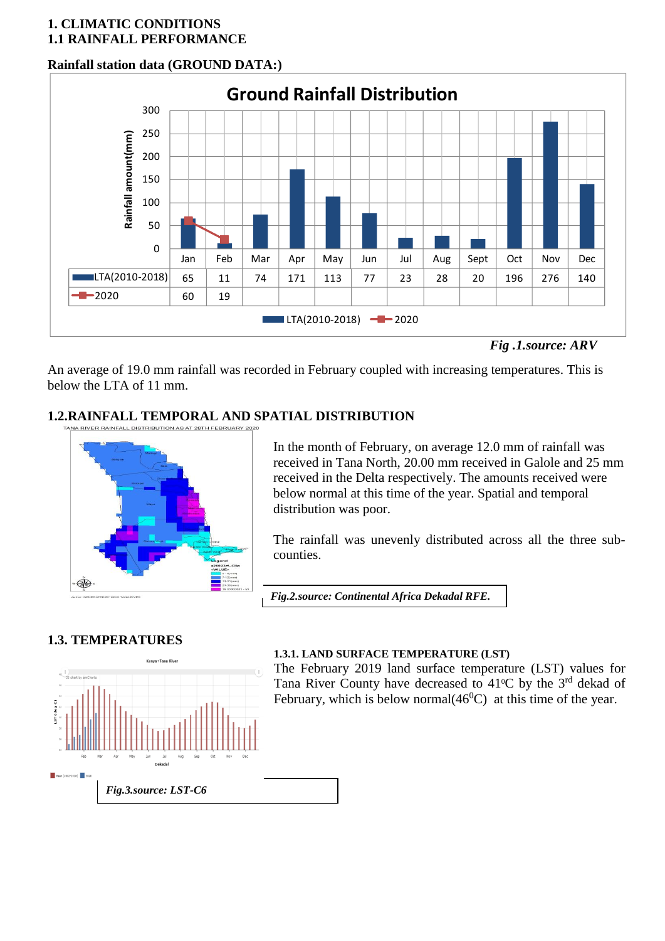### **1. CLIMATIC CONDITIONS 1.1 RAINFALL PERFORMANCE**

## **Rainfall station data (GROUND DATA:)**



*Fig .1.source: ARV*

An average of 19.0 mm rainfall was recorded in February coupled with increasing temperatures. This is below the LTA of 11 mm.

# **1.2.RAINFALL TEMPORAL AND SPATIAL DISTRIBUTION**



**Magazine Company Policy** 

In the month of February, on average 12.0 mm of rainfall was received in Tana North, 20.00 mm received in Galole and 25 mm received in the Delta respectively. The amounts received were below normal at this time of the year. Spatial and temporal distribution was poor.

The rainfall was unevenly distributed across all the three subcounties.

*Fig.2.source: Continental Africa Dekadal RFE.*

## **1.3. TEMPERATURES**



## **1.3.1. LAND SURFACE TEMPERATURE (LST)**

The February 2019 land surface temperature (LST) values for Tana River County have decreased to  $41^{\circ}$ C by the 3<sup>rd</sup> dekad of February, which is below normal $(46^{\circ}\text{C})$  at this time of the year.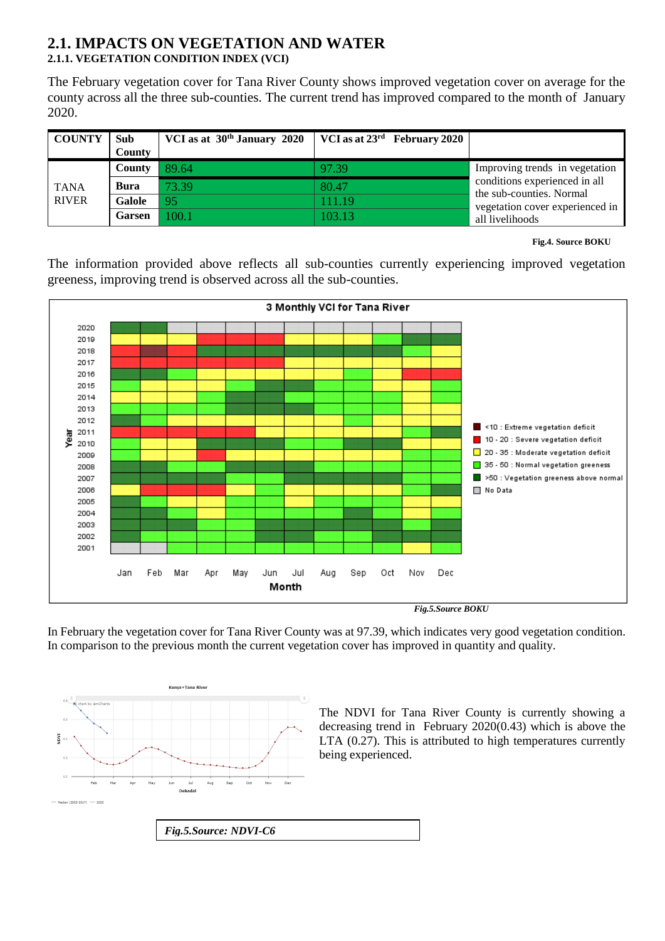#### **2.1. IMPACTS ON VEGETATION AND WATER 2.1.1. VEGETATION CONDITION INDEX (VCI)**

The February vegetation cover for Tana River County shows improved vegetation cover on average for the county across all the three sub-counties. The current trend has improved compared to the month of January 2020.

| <b>COUNTY</b>               | <b>Sub</b><br><b>County</b> | VCI as at $30th$ January 2020 | VCI as at $23^{\rm rd}$ February 2020 |                                                                                              |
|-----------------------------|-----------------------------|-------------------------------|---------------------------------------|----------------------------------------------------------------------------------------------|
|                             | County                      | 89.64                         | 97.39                                 | Improving trends in vegetation                                                               |
| <b>TANA</b><br><b>RIVER</b> | <b>Bura</b>                 | 73.39                         | 80.47                                 | conditions experienced in all<br>the sub-counties. Normal<br>vegetation cover experienced in |
|                             | Galole                      | 95                            | 111.19                                |                                                                                              |
|                             | <b>Garsen</b>               | 100.1                         | 103.13                                | all livelihoods                                                                              |

**Fig.4. Source BOKU** 

The information provided above reflects all sub-counties currently experiencing improved vegetation greeness, improving trend is observed across all the sub-counties.



In February the vegetation cover for Tana River County was at 97.39, which indicates very good vegetation condition. In comparison to the previous month the current vegetation cover has improved in quantity and quality.



The NDVI for Tana River County is currently showing a decreasing trend in February 2020(0.43) which is above the LTA (0.27). This is attributed to high temperatures currently being experienced.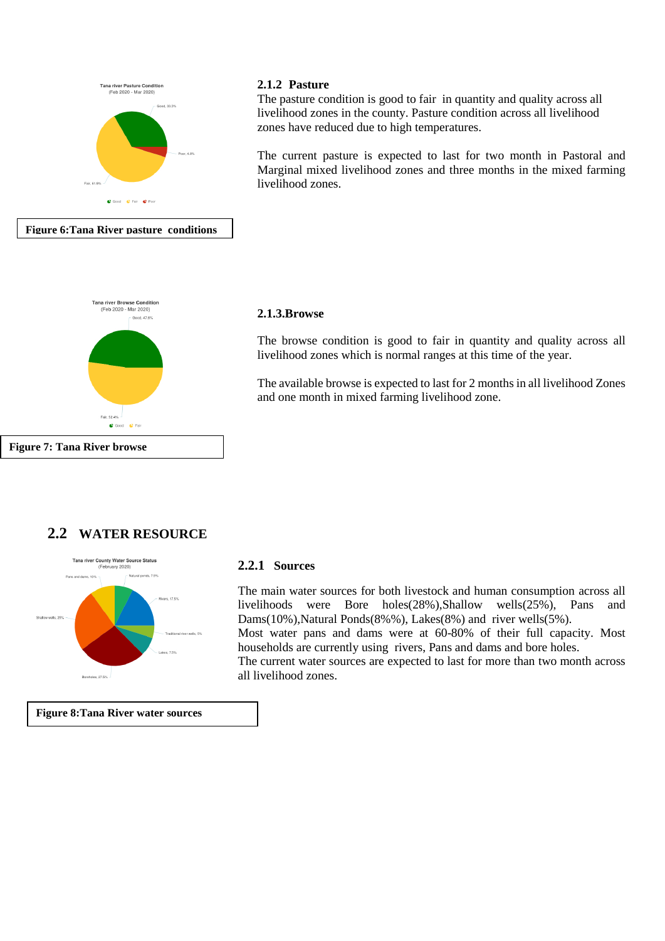

#### **2.1.2 Pasture**

The pasture condition is good to fair in quantity and quality across all livelihood zones in the county. Pasture condition across all livelihood zones have reduced due to high temperatures.

The current pasture is expected to last for two month in Pastoral and Marginal mixed livelihood zones and three months in the mixed farming livelihood zones.



#### **2.1.3.Browse**

The browse condition is good to fair in quantity and quality across all livelihood zones which is normal ranges at this time of the year.

The available browse is expected to last for 2 months in all livelihood Zones and one month in mixed farming livelihood zone.

## **2.2 WATER RESOURCE**



**Figure 8:Tana River water sources**

#### **2.2.1 Sources**

The main water sources for both livestock and human consumption across all livelihoods were Bore holes(28%),Shallow wells(25%), Pans and Dams(10%), Natural Ponds(8%%), Lakes(8%) and river wells(5%).

Most water pans and dams were at 60-80% of their full capacity. Most households are currently using rivers, Pans and dams and bore holes.

The current water sources are expected to last for more than two month across all livelihood zones.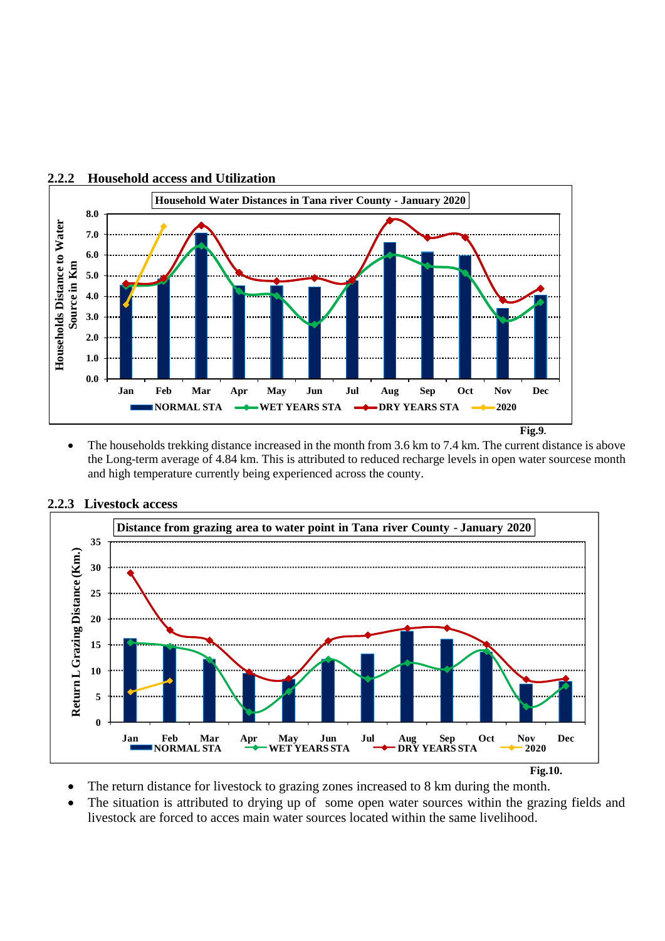

• The households trekking distance increased in the month from 3.6 km to 7.4 km. The current distance is above the Long-term average of 4.84 km. This is attributed to reduced recharge levels in open water sourcese month and high temperature currently being experienced across the county.



**2.2.3 Livestock access**

- The return distance for livestock to grazing zones increased to 8 km during the month.
- The situation is attributed to drying up of some open water sources within the grazing fields and livestock are forced to acces main water sources located within the same livelihood.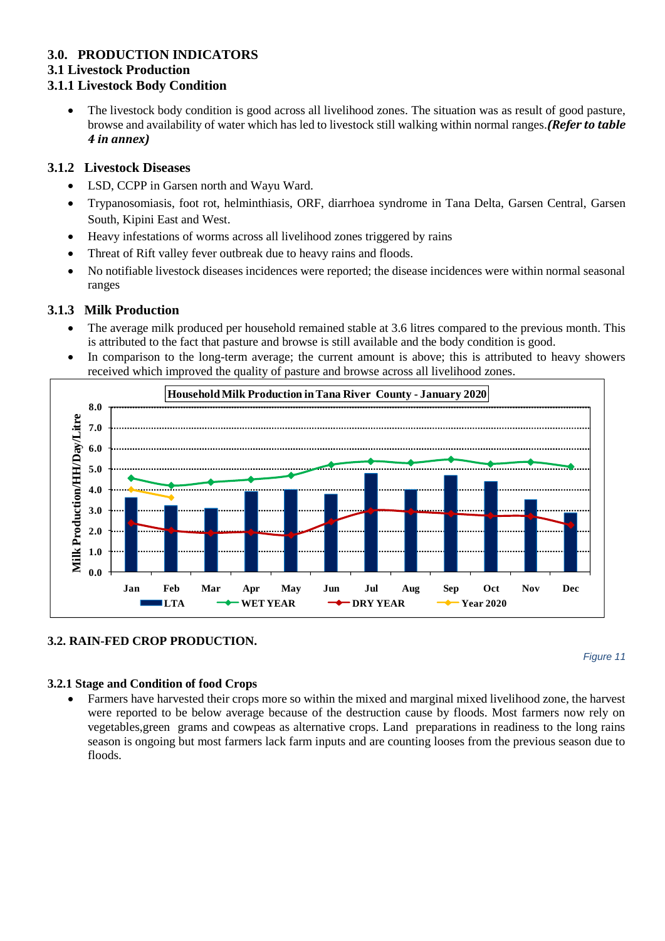## **3.0. PRODUCTION INDICATORS**

#### **3.1 Livestock Production**

### **3.1.1 Livestock Body Condition**

• The livestock body condition is good across all livelihood zones. The situation was as result of good pasture, browse and availability of water which has led to livestock still walking within normal ranges.*(Refer to table 4 in annex)*

### **3.1.2 Livestock Diseases**

- LSD, CCPP in Garsen north and Wayu Ward.
- Trypanosomiasis, foot rot, helminthiasis, ORF, diarrhoea syndrome in Tana Delta, Garsen Central, Garsen South, Kipini East and West.
- Heavy infestations of worms across all livelihood zones triggered by rains
- Threat of Rift valley fever outbreak due to heavy rains and floods.
- No notifiable livestock diseases incidences were reported; the disease incidences were within normal seasonal ranges

## **3.1.3 Milk Production**

- The average milk produced per household remained stable at 3.6 litres compared to the previous month. This is attributed to the fact that pasture and browse is still available and the body condition is good.
- In comparison to the long-term average; the current amount is above; this is attributed to heavy showers received which improved the quality of pasture and browse across all livelihood zones.



## **3.2. RAIN-FED CROP PRODUCTION.**

*Figure 11*

#### **3.2.1 Stage and Condition of food Crops**

• Farmers have harvested their crops more so within the mixed and marginal mixed livelihood zone, the harvest were reported to be below average because of the destruction cause by floods. Most farmers now rely on vegetables,green grams and cowpeas as alternative crops. Land preparations in readiness to the long rains season is ongoing but most farmers lack farm inputs and are counting looses from the previous season due to floods.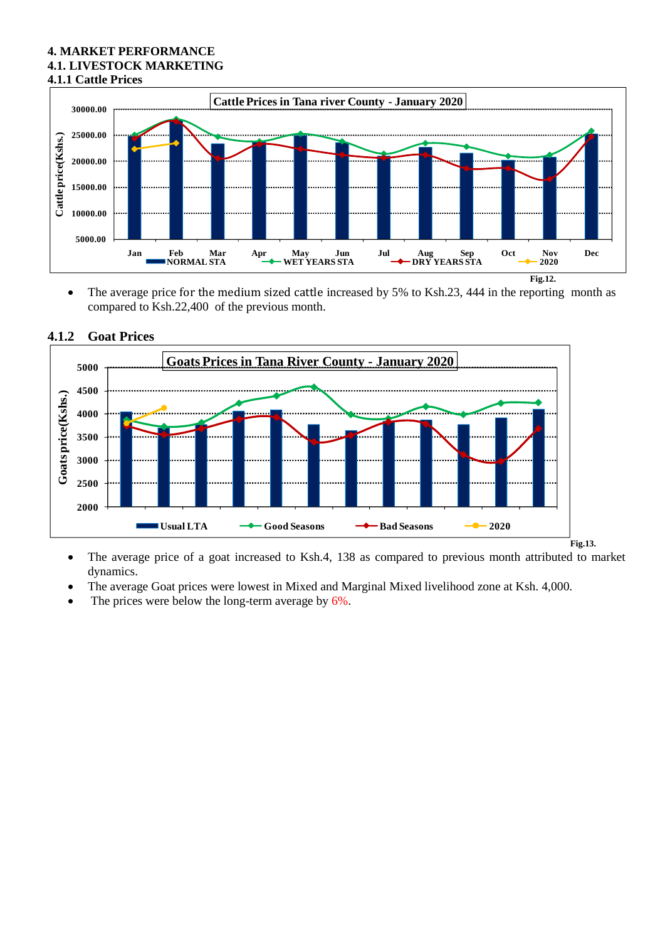#### **4. MARKET PERFORMANCE 4.1. LIVESTOCK MARKETING 4.1.1 Cattle Prices**



• The average price for the medium sized cattle increased by 5% to Ksh.23, 444 in the reporting month as compared to Ksh.22,400 of the previous month.



#### **4.1.2 Goat Prices**

- The average price of a goat increased to Ksh.4, 138 as compared to previous month attributed to market dynamics.
- The average Goat prices were lowest in Mixed and Marginal Mixed livelihood zone at Ksh. 4,000.
- The prices were below the long-term average by  $6\%$ .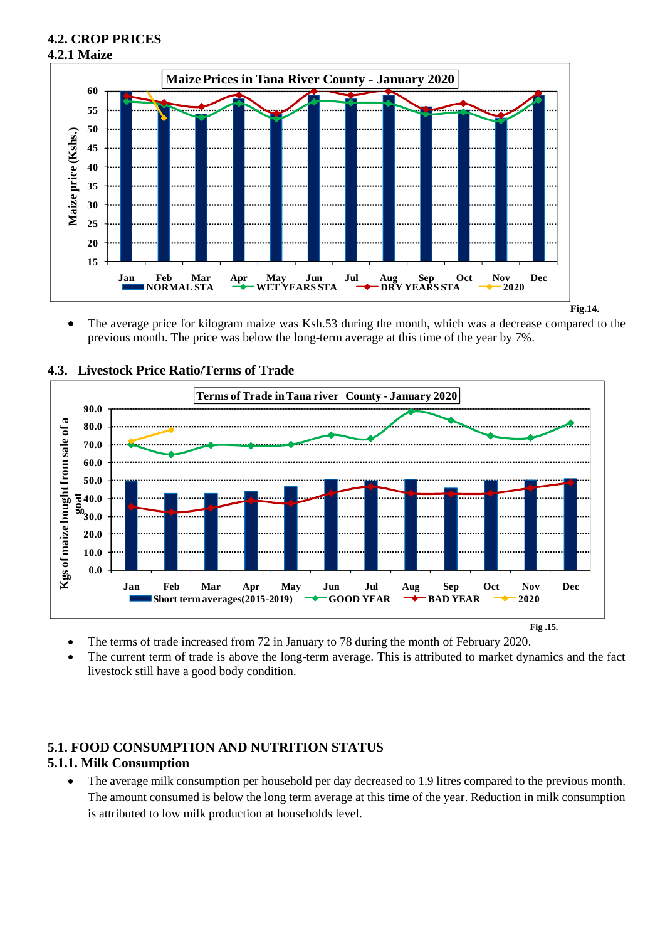## **4.2. CROP PRICES 4.2.1 Maize**



• The average price for kilogram maize was Ksh.53 during the month, which was a decrease compared to the previous month. The price was below the long-term average at this time of the year by 7%.



**4.3. Livestock Price Ratio/Terms of Trade**

- The terms of trade increased from 72 in January to 78 during the month of February 2020.
- The current term of trade is above the long-term average. This is attributed to market dynamics and the fact livestock still have a good body condition.

## **5.1. FOOD CONSUMPTION AND NUTRITION STATUS 5.1.1. Milk Consumption**

The average milk consumption per household per day decreased to 1.9 litres compared to the previous month. The amount consumed is below the long term average at this time of the year. Reduction in milk consumption is attributed to low milk production at households level.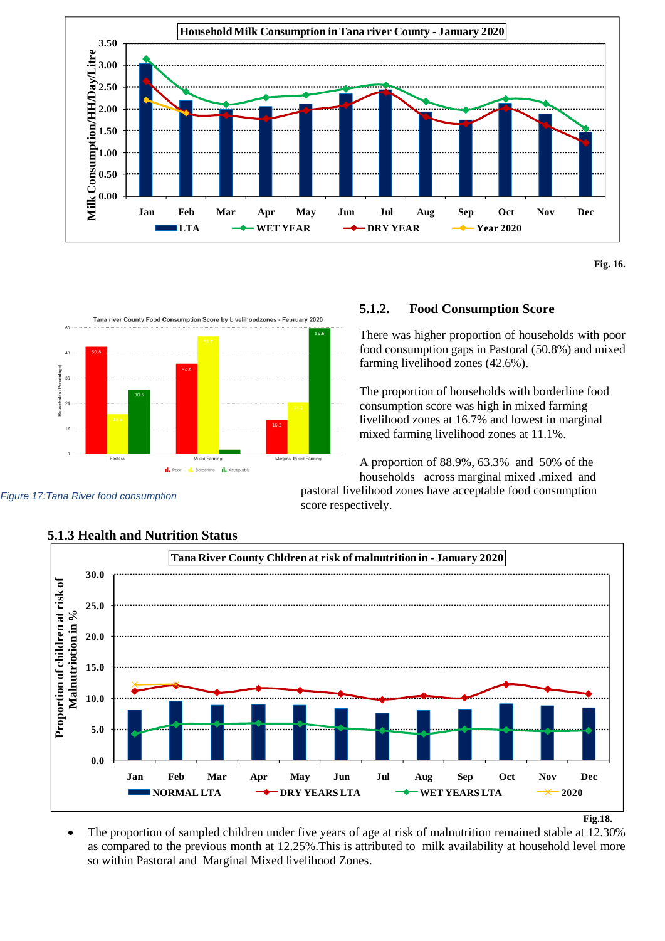

**Fig. 16.**



#### **5.1.2. Food Consumption Score**

There was higher proportion of households with poor food consumption gaps in Pastoral (50.8%) and mixed farming livelihood zones (42.6%).

The proportion of households with borderline food consumption score was high in mixed farming livelihood zones at 16.7% and lowest in marginal mixed farming livelihood zones at 11.1%.

A proportion of 88.9%, 63.3% and 50% of the households across marginal mixed ,mixed and

pastoral livelihood zones have acceptable food consumption score respectively.



## **5.1.3 Health and Nutrition Status**

*Figure 17:Tana River food consumption*

• The proportion of sampled children under five years of age at risk of malnutrition remained stable at 12.30% as compared to the previous month at 12.25%.This is attributed to milk availability at household level more so within Pastoral and Marginal Mixed livelihood Zones.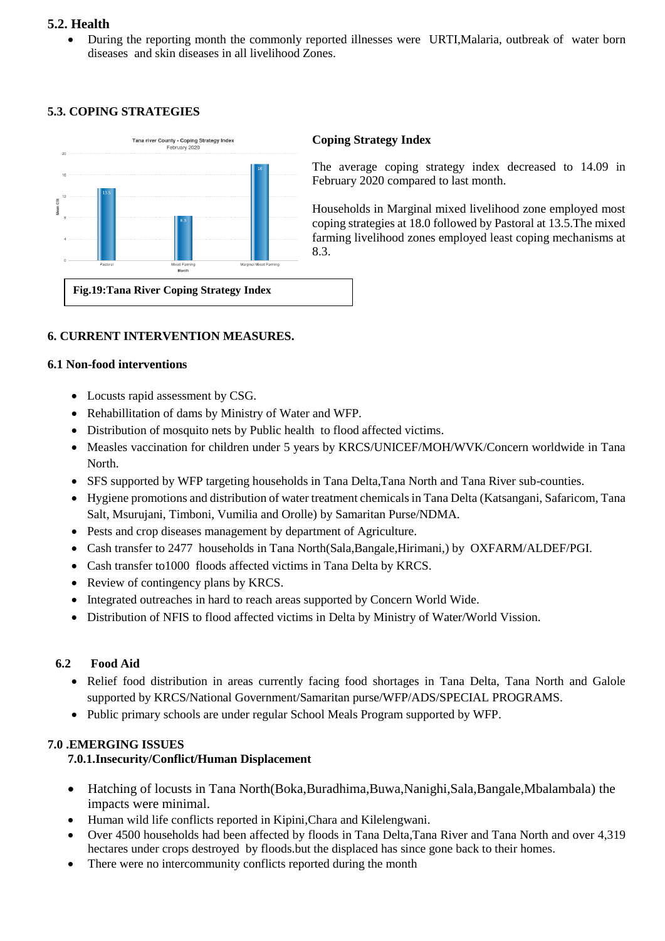#### **5.2. Health**

• During the reporting month the commonly reported illnesses were URTI,Malaria, outbreak of water born diseases and skin diseases in all livelihood Zones.

## **5.3. COPING STRATEGIES**



#### **Coping Strategy Index**

The average coping strategy index decreased to 14.09 in February 2020 compared to last month.

Households in Marginal mixed livelihood zone employed most coping strategies at 18.0 followed by Pastoral at 13.5.The mixed farming livelihood zones employed least coping mechanisms at 8.3.

## **6. CURRENT INTERVENTION MEASURES.**

#### **6.1 Non-food interventions**

- Locusts rapid assessment by CSG.
- Rehabillitation of dams by Ministry of Water and WFP.
- Distribution of mosquito nets by Public health to flood affected victims.
- Measles vaccination for children under 5 years by KRCS/UNICEF/MOH/WVK/Concern worldwide in Tana North.
- SFS supported by WFP targeting households in Tana Delta,Tana North and Tana River sub-counties.
- Hygiene promotions and distribution of water treatment chemicals in Tana Delta (Katsangani, Safaricom, Tana Salt, Msurujani, Timboni, Vumilia and Orolle) by Samaritan Purse/NDMA.
- Pests and crop diseases management by department of Agriculture.
- Cash transfer to 2477 households in Tana North(Sala,Bangale,Hirimani,) by OXFARM/ALDEF/PGI.
- Cash transfer to1000 floods affected victims in Tana Delta by KRCS.
- Review of contingency plans by KRCS.
- Integrated outreaches in hard to reach areas supported by Concern World Wide.
- Distribution of NFIS to flood affected victims in Delta by Ministry of Water/World Vission.

## **6.2 Food Aid**

- Relief food distribution in areas currently facing food shortages in Tana Delta, Tana North and Galole supported by KRCS/National Government/Samaritan purse/WFP/ADS/SPECIAL PROGRAMS.
- Public primary schools are under regular School Meals Program supported by WFP.

## **7.0 .EMERGING ISSUES**

## **7.0.1.Insecurity/Conflict/Human Displacement**

- Hatching of locusts in Tana North(Boka,Buradhima,Buwa,Nanighi,Sala,Bangale,Mbalambala) the impacts were minimal.
- Human wild life conflicts reported in Kipini,Chara and Kilelengwani.
- Over 4500 households had been affected by floods in Tana Delta,Tana River and Tana North and over 4,319 hectares under crops destroyed by floods.but the displaced has since gone back to their homes.
- There were no intercommunity conflicts reported during the month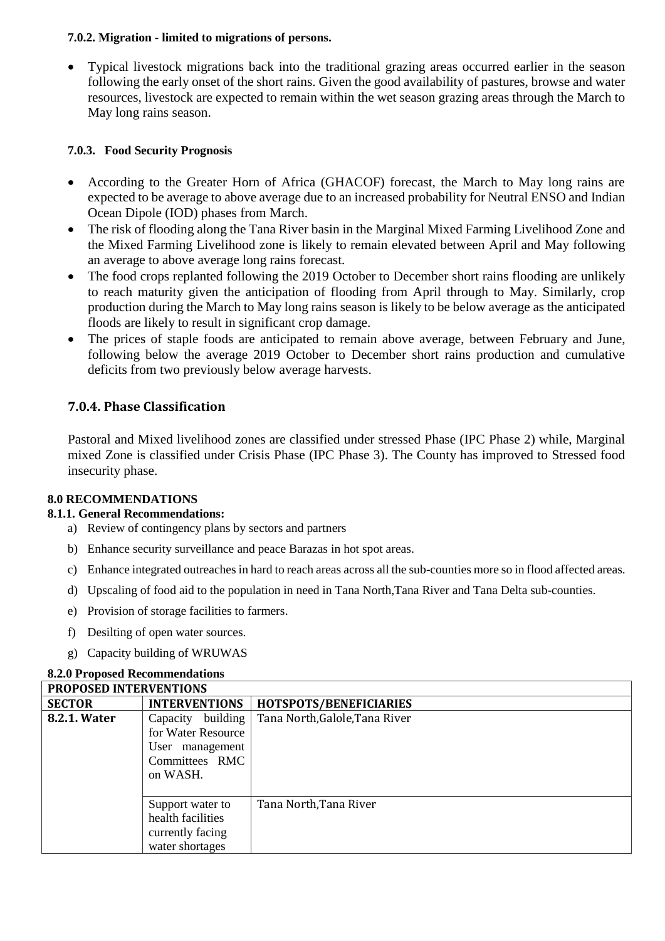#### **7.0.2. Migration - limited to migrations of persons.**

• Typical livestock migrations back into the traditional grazing areas occurred earlier in the season following the early onset of the short rains. Given the good availability of pastures, browse and water resources, livestock are expected to remain within the wet season grazing areas through the March to May long rains season.

#### **7.0.3. Food Security Prognosis**

- According to the Greater Horn of Africa (GHACOF) forecast, the March to May long rains are expected to be average to above average due to an increased probability for Neutral ENSO and Indian Ocean Dipole (IOD) phases from March.
- The risk of flooding along the Tana River basin in the Marginal Mixed Farming Livelihood Zone and the Mixed Farming Livelihood zone is likely to remain elevated between April and May following an average to above average long rains forecast.
- The food crops replanted following the 2019 October to December short rains flooding are unlikely to reach maturity given the anticipation of flooding from April through to May. Similarly, crop production during the March to May long rains season is likely to be below average as the anticipated floods are likely to result in significant crop damage.
- The prices of staple foods are anticipated to remain above average, between February and June, following below the average 2019 October to December short rains production and cumulative deficits from two previously below average harvests.

## **7.0.4. Phase Classification**

Pastoral and Mixed livelihood zones are classified under stressed Phase (IPC Phase 2) while, Marginal mixed Zone is classified under Crisis Phase (IPC Phase 3). The County has improved to Stressed food insecurity phase.

#### **8.0 RECOMMENDATIONS**

#### **8.1.1. General Recommendations:**

- a) Review of contingency plans by sectors and partners
- b) Enhance security surveillance and peace Barazas in hot spot areas.
- c) Enhance integrated outreaches in hard to reach areas across all the sub-counties more so in flood affected areas.
- d) Upscaling of food aid to the population in need in Tana North,Tana River and Tana Delta sub-counties.
- e) Provision of storage facilities to farmers.
- f) Desilting of open water sources.
- g) Capacity building of WRUWAS

#### **8.2.0 Proposed Recommendations**

|               | <b>PROPOSED INTERVENTIONS</b>                                                            |                                |  |
|---------------|------------------------------------------------------------------------------------------|--------------------------------|--|
| <b>SECTOR</b> | <b>INTERVENTIONS</b>                                                                     | HOTSPOTS/BENEFICIARIES         |  |
| 8.2.1. Water  | Capacity building<br>for Water Resource<br>User management<br>Committees RMC<br>on WASH. | Tana North, Galole, Tana River |  |
|               | Support water to<br>health facilities<br>currently facing<br>water shortages             | Tana North, Tana River         |  |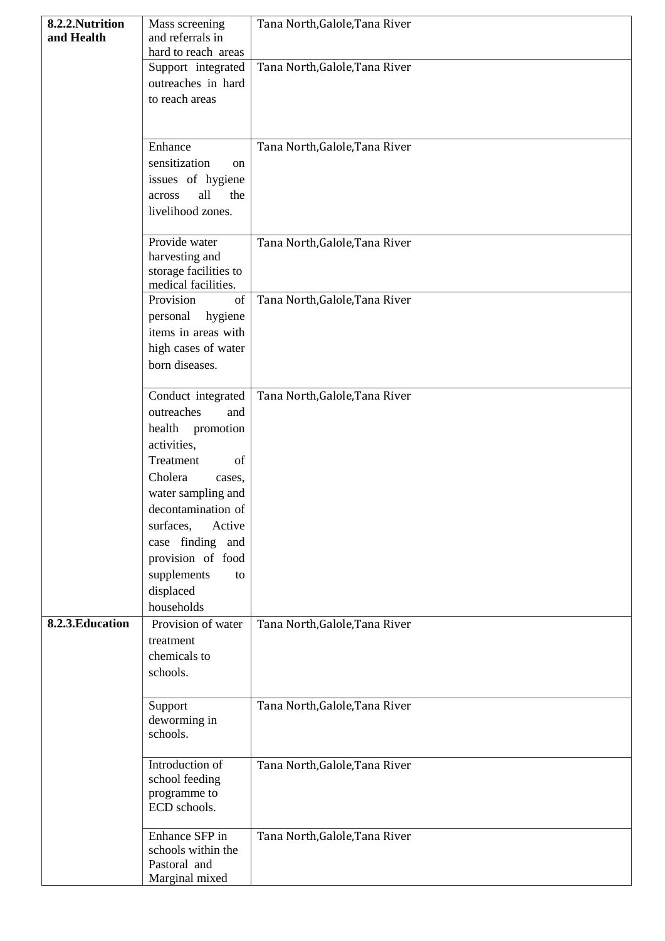| 8.2.2.Nutrition  | Mass screening               | Tana North, Galole, Tana River |
|------------------|------------------------------|--------------------------------|
| and Health       | and referrals in             |                                |
|                  | hard to reach areas          |                                |
|                  | Support integrated           | Tana North, Galole, Tana River |
|                  | outreaches in hard           |                                |
|                  | to reach areas               |                                |
|                  |                              |                                |
|                  | Enhance                      | Tana North, Galole, Tana River |
|                  | sensitization<br>on          |                                |
|                  | issues of hygiene            |                                |
|                  | all<br>the<br>across         |                                |
|                  | livelihood zones.            |                                |
|                  |                              |                                |
|                  | Provide water                | Tana North, Galole, Tana River |
|                  | harvesting and               |                                |
|                  | storage facilities to        |                                |
|                  | medical facilities.          |                                |
|                  | Provision<br>of              | Tana North, Galole, Tana River |
|                  | hygiene<br>personal          |                                |
|                  | items in areas with          |                                |
|                  | high cases of water          |                                |
|                  | born diseases.               |                                |
|                  |                              |                                |
|                  | Conduct integrated           | Tana North, Galole, Tana River |
|                  | outreaches<br>and            |                                |
|                  | promotion<br>health          |                                |
|                  | activities,                  |                                |
|                  | Treatment<br>of              |                                |
|                  | Cholera<br>cases,            |                                |
|                  | water sampling and           |                                |
|                  | decontamination of           |                                |
|                  | surfaces,<br>Active          |                                |
|                  | case finding and             |                                |
|                  | provision of food            |                                |
|                  | supplements<br>to            |                                |
|                  | displaced                    |                                |
|                  | households                   |                                |
| 8.2.3. Education | Provision of water           | Tana North, Galole, Tana River |
|                  | treatment                    |                                |
|                  | chemicals to                 |                                |
|                  | schools.                     |                                |
|                  |                              |                                |
|                  | Support                      | Tana North, Galole, Tana River |
|                  | deworming in                 |                                |
|                  | schools.                     |                                |
|                  |                              |                                |
|                  | Introduction of              | Tana North, Galole, Tana River |
|                  | school feeding               |                                |
|                  | programme to<br>ECD schools. |                                |
|                  |                              |                                |
|                  | Enhance SFP in               | Tana North, Galole, Tana River |
|                  | schools within the           |                                |
|                  | Pastoral and                 |                                |
|                  | Marginal mixed               |                                |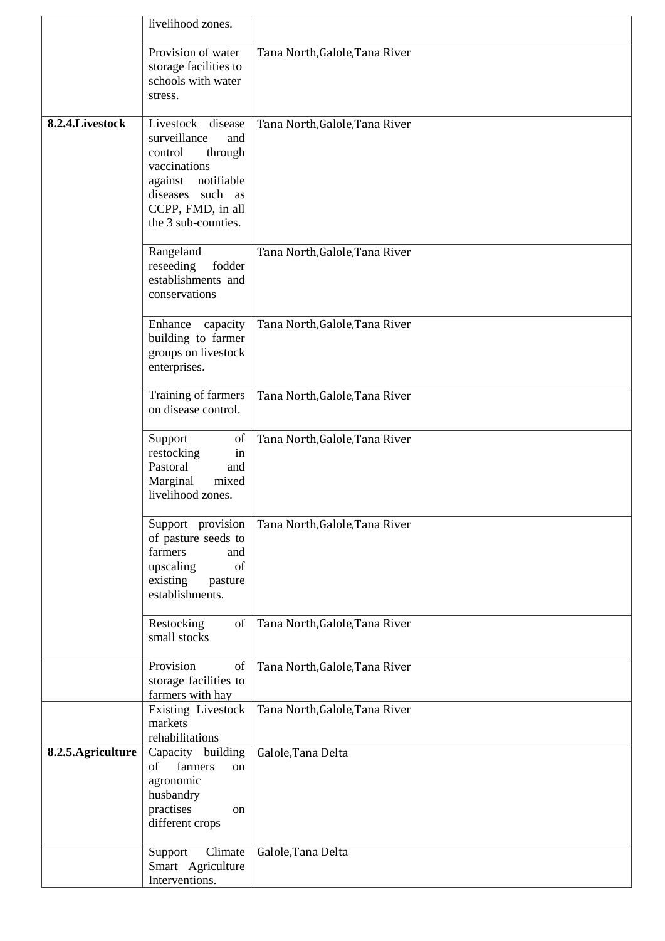|                    | livelihood zones.                                                                                                                                                          |                                |
|--------------------|----------------------------------------------------------------------------------------------------------------------------------------------------------------------------|--------------------------------|
|                    | Provision of water<br>storage facilities to<br>schools with water<br>stress.                                                                                               | Tana North, Galole, Tana River |
| 8.2.4. Livestock   | Livestock<br>disease<br>surveillance<br>and<br>control<br>through<br>vaccinations<br>notifiable<br>against<br>diseases such as<br>CCPP, FMD, in all<br>the 3 sub-counties. | Tana North, Galole, Tana River |
|                    | Rangeland<br>reseeding<br>fodder<br>establishments and<br>conservations                                                                                                    | Tana North, Galole, Tana River |
|                    | Enhance<br>capacity<br>building to farmer<br>groups on livestock<br>enterprises.                                                                                           | Tana North, Galole, Tana River |
|                    | Training of farmers<br>on disease control.                                                                                                                                 | Tana North, Galole, Tana River |
|                    | Support<br>of<br>restocking<br>in<br>Pastoral<br>and<br>Marginal<br>mixed<br>livelihood zones.                                                                             | Tana North, Galole, Tana River |
|                    | Support provision<br>of pasture seeds to<br>farmers<br>and<br>of<br>upscaling<br>existing<br>pasture<br>establishments.                                                    | Tana North, Galole, Tana River |
|                    | Restocking<br>of<br>small stocks                                                                                                                                           | Tana North, Galole, Tana River |
|                    | Provision<br>of<br>storage facilities to<br>farmers with hay                                                                                                               | Tana North, Galole, Tana River |
|                    | Existing Livestock<br>markets<br>rehabilitations                                                                                                                           | Tana North, Galole, Tana River |
| 8.2.5. Agriculture | Capacity building<br>farmers<br>of<br>on<br>agronomic<br>husbandry<br>practises<br>on<br>different crops                                                                   | Galole, Tana Delta             |
|                    | Climate<br>Support<br>Smart Agriculture<br>Interventions.                                                                                                                  | Galole, Tana Delta             |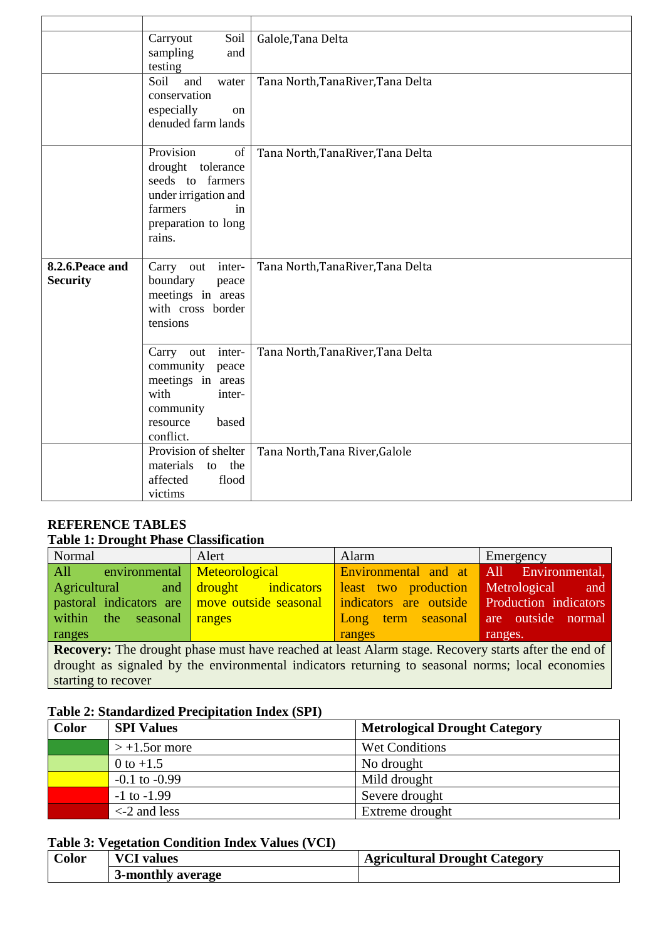|                                     | Soil<br>Carryout<br>sampling<br>and<br>testing                                                                                     | Galole, Tana Delta                 |
|-------------------------------------|------------------------------------------------------------------------------------------------------------------------------------|------------------------------------|
|                                     | Soil<br>and<br>water<br>conservation<br>especially<br>on<br>denuded farm lands                                                     | Tana North, Tana River, Tana Delta |
|                                     | Provision<br>of<br>drought tolerance<br>seeds to farmers<br>under irrigation and<br>farmers<br>in<br>preparation to long<br>rains. | Tana North, Tana River, Tana Delta |
| 8.2.6. Peace and<br><b>Security</b> | inter-<br>Carry<br>out<br>boundary<br>peace<br>meetings in areas<br>with cross border<br>tensions                                  | Tana North, Tana River, Tana Delta |
|                                     | inter-<br>Carry<br>out<br>community<br>peace<br>meetings in areas<br>with<br>inter-<br>community<br>based<br>resource<br>conflict. | Tana North, Tana River, Tana Delta |
|                                     | Provision of shelter<br>materials<br>the<br>to<br>affected<br>flood<br>victims                                                     | Tana North, Tana River, Galole     |

# **REFERENCE TABLES**

# **Table 1: Drought Phase Classification**

| Normal                                                                                                      | Alert              | Alarm                  | Emergency                      |
|-------------------------------------------------------------------------------------------------------------|--------------------|------------------------|--------------------------------|
| environmental<br>All                                                                                        | Meteorological     | Environmental and at   | All Environmental,             |
| Agricultural<br>and                                                                                         | drought indicators | least two production   | Metrological<br><sub>and</sub> |
| pastoral indicators are move outside seasonal                                                               |                    | indicators are outside | Production indicators          |
| within the seasonal $range$                                                                                 |                    | term seasonal<br>Long  | are outside normal             |
| ranges                                                                                                      |                    | ranges                 | ranges.                        |
| <b>Recovery:</b> The drought phase must have reached at least Alarm stage. Recovery starts after the end of |                    |                        |                                |
| drought as signaled by the environmental indicators returning to seasonal norms; local economies            |                    |                        |                                |
| starting to recover                                                                                         |                    |                        |                                |

### **Table 2: Standardized Precipitation Index (SPI)**

| <b>Color</b> | <b>SPI Values</b> | <b>Metrological Drought Category</b> |
|--------------|-------------------|--------------------------------------|
|              | $> +1.5$ or more  | Wet Conditions                       |
|              | 0 to $+1.5$       | No drought                           |
|              | $-0.1$ to $-0.99$ | Mild drought                         |
|              | $-1$ to $-1.99$   | Severe drought                       |
|              | $\leq$ 2 and less | Extreme drought                      |

## **Table 3: Vegetation Condition Index Values (VCI)**

| <b>bolor</b> | VCI<br>values     | <b>Agricultural Drought Category</b> |
|--------------|-------------------|--------------------------------------|
|              | 3-monthly average |                                      |